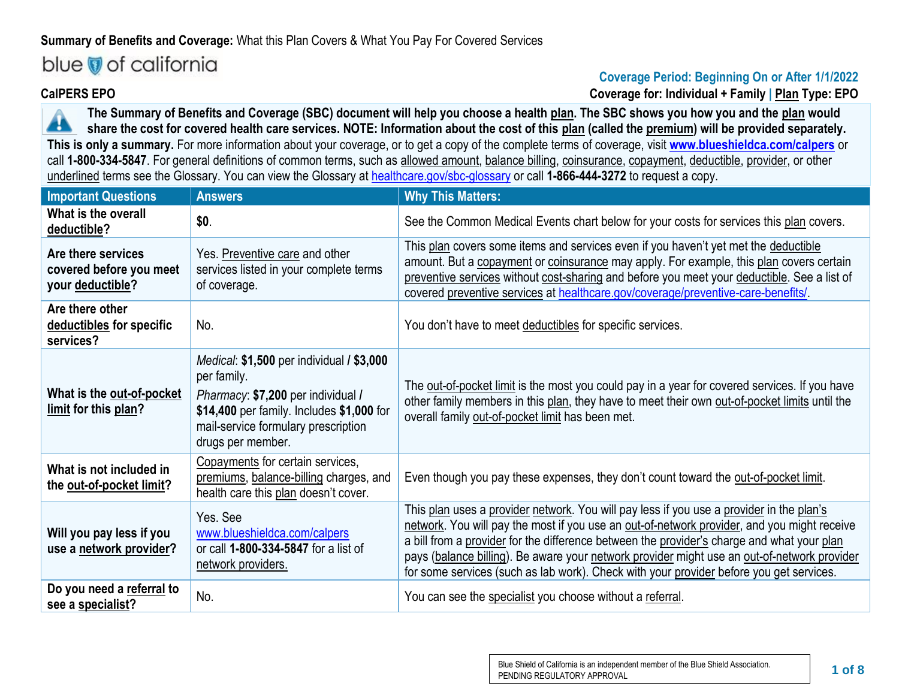## **Summary of Benefits and Coverage:** What this Plan Covers & What You Pay For Covered Services

# blue of california

### **Coverage Period: Beginning On or After 1/1/2022 CalPERS EPO Coverage for: Individual + Family | Plan Type: EPO**

**The Summary of Benefits and Coverage (SBC) document will help you choose a health plan. The SBC shows you how you and the plan would**  ▲ **share the cost for covered health care services. NOTE: Information about the cost of this plan (called the premium) will be provided separately. This is only a summary.** For more information about your coverage, or to get a copy of the complete terms of coverage, visit **[www.blueshieldca.com/calpers](https://blueshieldca.com/calpers)** or call 1-800-334-5847. For general definitions of common terms, such as allowed amount, balance billing, coinsurance, copayment, deductible, provider, or other underlined terms see the Glossary. You can view the Glossary at [healthcare.gov/sbc-glossary](http://www.healthcare.gov/sbc-glossary) or call **1-866-444-3272** to request a copy.

| <b>Important Questions</b>                                        | <b>Answers</b>                                                                                                                                                                                                 | <b>Why This Matters:</b>                                                                                                                                                                                                                                                                                                                                                                                                                                                        |
|-------------------------------------------------------------------|----------------------------------------------------------------------------------------------------------------------------------------------------------------------------------------------------------------|---------------------------------------------------------------------------------------------------------------------------------------------------------------------------------------------------------------------------------------------------------------------------------------------------------------------------------------------------------------------------------------------------------------------------------------------------------------------------------|
| What is the overall<br>deductible?                                | \$0.                                                                                                                                                                                                           | See the Common Medical Events chart below for your costs for services this plan covers.                                                                                                                                                                                                                                                                                                                                                                                         |
| Are there services<br>covered before you meet<br>your deductible? | Yes. Preventive care and other<br>services listed in your complete terms<br>of coverage.                                                                                                                       | This plan covers some items and services even if you haven't yet met the deductible<br>amount. But a copayment or coinsurance may apply. For example, this plan covers certain<br>preventive services without cost-sharing and before you meet your deductible. See a list of<br>covered preventive services at healthcare.gov/coverage/preventive-care-benefits/.                                                                                                              |
| Are there other<br>deductibles for specific<br>services?          | No.                                                                                                                                                                                                            | You don't have to meet deductibles for specific services.                                                                                                                                                                                                                                                                                                                                                                                                                       |
| What is the out-of-pocket<br>limit for this plan?                 | <i>Medical:</i> \$1,500 per individual / \$3,000<br>per family.<br>Pharmacy: \$7,200 per individual /<br>\$14,400 per family. Includes \$1,000 for<br>mail-service formulary prescription<br>drugs per member. | The out-of-pocket limit is the most you could pay in a year for covered services. If you have<br>other family members in this plan, they have to meet their own out-of-pocket limits until the<br>overall family out-of-pocket limit has been met.                                                                                                                                                                                                                              |
| What is not included in<br>the out-of-pocket limit?               | Copayments for certain services,<br>premiums, balance-billing charges, and<br>health care this plan doesn't cover.                                                                                             | Even though you pay these expenses, they don't count toward the out-of-pocket limit.                                                                                                                                                                                                                                                                                                                                                                                            |
| Will you pay less if you<br>use a network provider?               | Yes. See<br>www.blueshieldca.com/calpers<br>or call 1-800-334-5847 for a list of<br>network providers.                                                                                                         | This plan uses a provider network. You will pay less if you use a provider in the plan's<br>network. You will pay the most if you use an out-of-network provider, and you might receive<br>a bill from a provider for the difference between the provider's charge and what your plan<br>pays (balance billing). Be aware your network provider might use an out-of-network provider<br>for some services (such as lab work). Check with your provider before you get services. |
| Do you need a referral to<br>see a specialist?                    | No.                                                                                                                                                                                                            | You can see the specialist you choose without a referral.                                                                                                                                                                                                                                                                                                                                                                                                                       |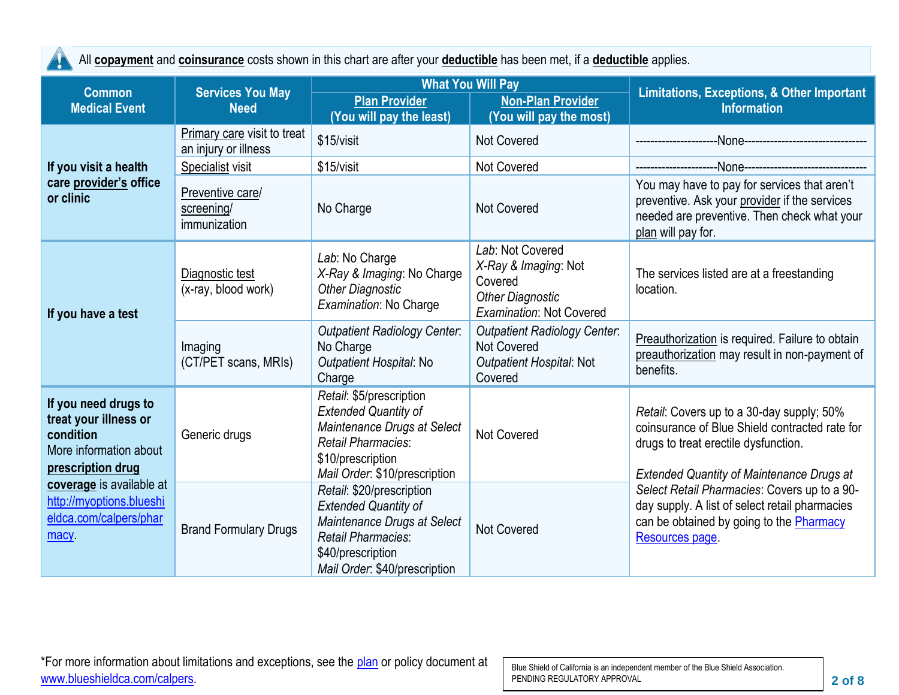All **copayment** and **coinsurance** costs shown in this chart are after your **deductible** has been met, if a **deductible** applies.

A,

| <b>Common</b>                                                                                             | <b>Services You May</b>                             | <b>What You Will Pay</b>                                                                                                                                                   |                                                                                                                   | <b>Limitations, Exceptions, &amp; Other Important</b><br><b>Information</b>                                                                                                             |  |
|-----------------------------------------------------------------------------------------------------------|-----------------------------------------------------|----------------------------------------------------------------------------------------------------------------------------------------------------------------------------|-------------------------------------------------------------------------------------------------------------------|-----------------------------------------------------------------------------------------------------------------------------------------------------------------------------------------|--|
| <b>Medical Event</b><br><b>Need</b>                                                                       |                                                     | <b>Plan Provider</b><br>(You will pay the least)                                                                                                                           | <b>Non-Plan Provider</b><br>(You will pay the most)                                                               |                                                                                                                                                                                         |  |
|                                                                                                           | Primary care visit to treat<br>an injury or illness | \$15/visit                                                                                                                                                                 | <b>Not Covered</b>                                                                                                | -None--------------------------                                                                                                                                                         |  |
| If you visit a health                                                                                     | Specialist visit                                    | \$15/visit                                                                                                                                                                 | Not Covered                                                                                                       |                                                                                                                                                                                         |  |
| care provider's office<br>or clinic                                                                       | Preventive care/<br>screening/<br>immunization      | No Charge                                                                                                                                                                  | <b>Not Covered</b>                                                                                                | You may have to pay for services that aren't<br>preventive. Ask your provider if the services<br>needed are preventive. Then check what your<br>plan will pay for.                      |  |
| Diagnostic test<br>(x-ray, blood work)<br>If you have a test                                              |                                                     | Lab: No Charge<br>X-Ray & Imaging: No Charge<br><b>Other Diagnostic</b><br>Examination: No Charge                                                                          | Lab: Not Covered<br>X-Ray & Imaging: Not<br>Covered<br><b>Other Diagnostic</b><br><b>Examination: Not Covered</b> | The services listed are at a freestanding<br>location.                                                                                                                                  |  |
|                                                                                                           | Imaging<br>(CT/PET scans, MRIs)                     | <b>Outpatient Radiology Center.</b><br>No Charge<br>Outpatient Hospital: No<br>Charge                                                                                      | <b>Outpatient Radiology Center:</b><br><b>Not Covered</b><br>Outpatient Hospital: Not<br>Covered                  | Preauthorization is required. Failure to obtain<br>preauthorization may result in non-payment of<br>benefits.                                                                           |  |
| If you need drugs to<br>treat your illness or<br>condition<br>More information about<br>prescription drug | Generic drugs                                       | Retail: \$5/prescription<br><b>Extended Quantity of</b><br>Maintenance Drugs at Select<br><b>Retail Pharmacies:</b><br>\$10/prescription<br>Mail Order: \$10/prescription  | <b>Not Covered</b>                                                                                                | Retail: Covers up to a 30-day supply; 50%<br>coinsurance of Blue Shield contracted rate for<br>drugs to treat erectile dysfunction.<br><b>Extended Quantity of Maintenance Drugs at</b> |  |
| coverage is available at<br>http://myoptions.blueshi<br>eldca.com/calpers/phar<br>macy                    | <b>Brand Formulary Drugs</b>                        | Retail: \$20/prescription<br><b>Extended Quantity of</b><br>Maintenance Drugs at Select<br><b>Retail Pharmacies:</b><br>\$40/prescription<br>Mail Order: \$40/prescription | <b>Not Covered</b>                                                                                                | Select Retail Pharmacies: Covers up to a 90-<br>day supply. A list of select retail pharmacies<br>can be obtained by going to the Pharmacy<br>Resources page                            |  |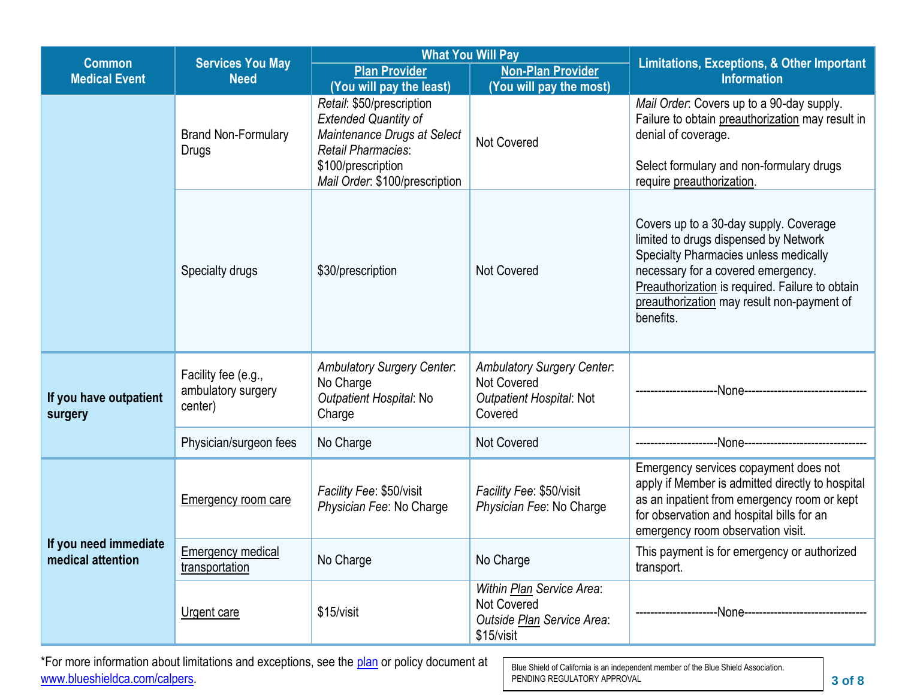| <b>Common</b>                              | <b>Services You May</b>                              | <b>What You Will Pay</b>                                                                                                                                                     |                                                                                                | <b>Limitations, Exceptions, &amp; Other Important</b>                                                                                                                                                                                                                        |  |
|--------------------------------------------|------------------------------------------------------|------------------------------------------------------------------------------------------------------------------------------------------------------------------------------|------------------------------------------------------------------------------------------------|------------------------------------------------------------------------------------------------------------------------------------------------------------------------------------------------------------------------------------------------------------------------------|--|
| <b>Medical Event</b>                       | <b>Need</b>                                          | <b>Plan Provider</b>                                                                                                                                                         | <b>Non-Plan Provider</b>                                                                       | <b>Information</b>                                                                                                                                                                                                                                                           |  |
|                                            |                                                      | (You will pay the least)                                                                                                                                                     | (You will pay the most)                                                                        |                                                                                                                                                                                                                                                                              |  |
|                                            | <b>Brand Non-Formulary</b><br>Drugs                  | Retail: \$50/prescription<br><b>Extended Quantity of</b><br>Maintenance Drugs at Select<br><b>Retail Pharmacies:</b><br>\$100/prescription<br>Mail Order: \$100/prescription | <b>Not Covered</b>                                                                             | Mail Order: Covers up to a 90-day supply.<br>Failure to obtain preauthorization may result in<br>denial of coverage.<br>Select formulary and non-formulary drugs<br>require preauthorization.                                                                                |  |
|                                            | Specialty drugs                                      | \$30/prescription                                                                                                                                                            | <b>Not Covered</b>                                                                             | Covers up to a 30-day supply. Coverage<br>limited to drugs dispensed by Network<br>Specialty Pharmacies unless medically<br>necessary for a covered emergency.<br>Preauthorization is required. Failure to obtain<br>preauthorization may result non-payment of<br>benefits. |  |
| If you have outpatient<br>surgery          | Facility fee (e.g.,<br>ambulatory surgery<br>center) | <b>Ambulatory Surgery Center:</b><br>No Charge<br>Outpatient Hospital: No<br>Charge                                                                                          | <b>Ambulatory Surgery Center:</b><br><b>Not Covered</b><br>Outpatient Hospital: Not<br>Covered | --None---------------------                                                                                                                                                                                                                                                  |  |
|                                            | Physician/surgeon fees                               | No Charge                                                                                                                                                                    | <b>Not Covered</b>                                                                             | -None---------------------                                                                                                                                                                                                                                                   |  |
|                                            | <b>Emergency room care</b>                           | Facility Fee: \$50/visit<br>Physician Fee: No Charge                                                                                                                         | Facility Fee: \$50/visit<br>Physician Fee: No Charge                                           | Emergency services copayment does not<br>apply if Member is admitted directly to hospital<br>as an inpatient from emergency room or kept<br>for observation and hospital bills for an<br>emergency room observation visit.                                                   |  |
| If you need immediate<br>medical attention | <b>Emergency medical</b><br>transportation           | No Charge                                                                                                                                                                    | No Charge                                                                                      | This payment is for emergency or authorized<br>transport.                                                                                                                                                                                                                    |  |
|                                            | Urgent care                                          | \$15/visit                                                                                                                                                                   | Within Plan Service Area:<br>Not Covered<br>Outside Plan Service Area:<br>\$15/visit           | -None---------------------------                                                                                                                                                                                                                                             |  |

\*For more information about limitations and exceptions, see the [plan](https://www.healthcare.gov/sbc-glossary/#plan) or policy document at [www.blueshieldca.com/calpers.](https://blueshieldca.com/calpers)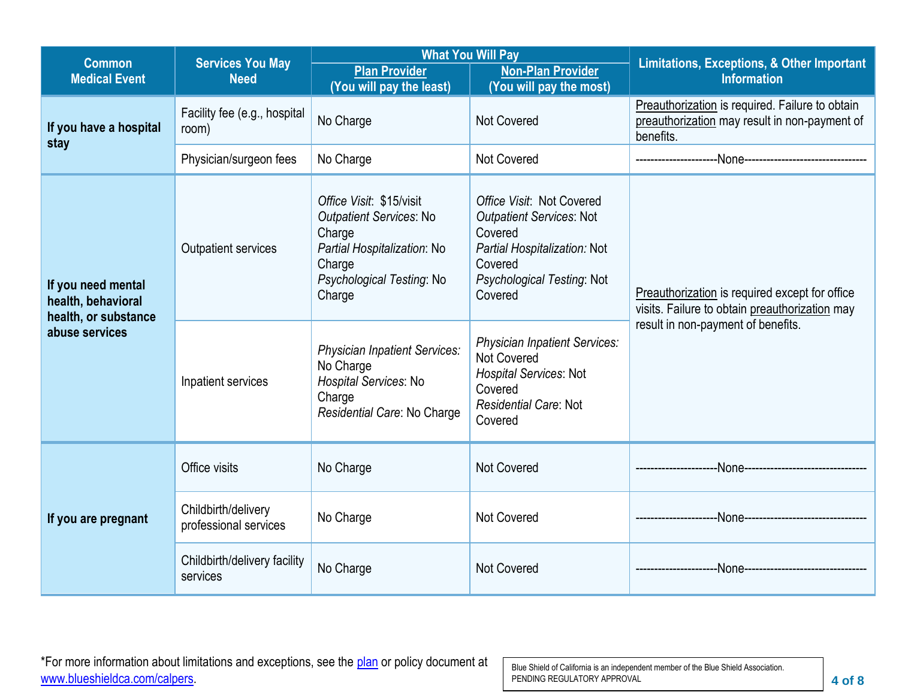| <b>Common</b>                                                    | <b>Services You May</b>                      | <b>What You Will Pay</b>                                                                                                                             |                                                                                                                                                             | <b>Limitations, Exceptions, &amp; Other Important</b>                                                         |  |
|------------------------------------------------------------------|----------------------------------------------|------------------------------------------------------------------------------------------------------------------------------------------------------|-------------------------------------------------------------------------------------------------------------------------------------------------------------|---------------------------------------------------------------------------------------------------------------|--|
| <b>Medical Event</b>                                             | <b>Need</b>                                  | <b>Plan Provider</b><br>(You will pay the least)                                                                                                     | <b>Non-Plan Provider</b><br>(You will pay the most)                                                                                                         | <b>Information</b>                                                                                            |  |
| If you have a hospital<br>stay                                   | Facility fee (e.g., hospital<br>room)        | No Charge                                                                                                                                            | <b>Not Covered</b>                                                                                                                                          | Preauthorization is required. Failure to obtain<br>preauthorization may result in non-payment of<br>benefits. |  |
|                                                                  | Physician/surgeon fees                       | No Charge                                                                                                                                            | <b>Not Covered</b>                                                                                                                                          |                                                                                                               |  |
| If you need mental<br>health, behavioral<br>health, or substance | <b>Outpatient services</b>                   | Office Visit: \$15/visit<br><b>Outpatient Services: No</b><br>Charge<br>Partial Hospitalization: No<br>Charge<br>Psychological Testing: No<br>Charge | Office Visit: Not Covered<br><b>Outpatient Services: Not</b><br>Covered<br>Partial Hospitalization: Not<br>Covered<br>Psychological Testing: Not<br>Covered | Preauthorization is required except for office<br>visits. Failure to obtain preauthorization may              |  |
| abuse services                                                   | Inpatient services                           | Physician Inpatient Services:<br>No Charge<br>Hospital Services: No<br>Charge<br>Residential Care: No Charge                                         | <b>Physician Inpatient Services:</b><br>Not Covered<br><b>Hospital Services: Not</b><br>Covered<br>Residential Care: Not<br>Covered                         | result in non-payment of benefits.                                                                            |  |
|                                                                  | Office visits                                | No Charge                                                                                                                                            | <b>Not Covered</b>                                                                                                                                          |                                                                                                               |  |
| If you are pregnant                                              | Childbirth/delivery<br>professional services | No Charge                                                                                                                                            | <b>Not Covered</b>                                                                                                                                          |                                                                                                               |  |
|                                                                  | Childbirth/delivery facility<br>services     | No Charge                                                                                                                                            | <b>Not Covered</b>                                                                                                                                          |                                                                                                               |  |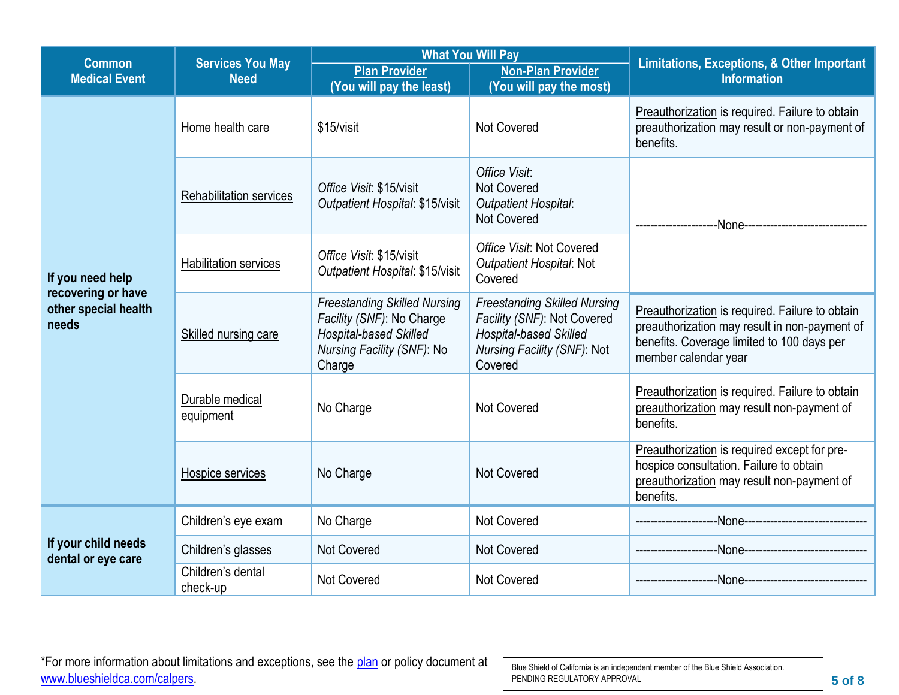| <b>Common</b>                                       | <b>Services You May</b>                                                                    |                                                                                                                                    | <b>What You Will Pay</b>                                                                                                               | <b>Limitations, Exceptions, &amp; Other Important</b>                                                                                                                  |  |  |
|-----------------------------------------------------|--------------------------------------------------------------------------------------------|------------------------------------------------------------------------------------------------------------------------------------|----------------------------------------------------------------------------------------------------------------------------------------|------------------------------------------------------------------------------------------------------------------------------------------------------------------------|--|--|
| <b>Medical Event</b>                                | <b>Plan Provider</b><br><b>Need</b><br>(You will pay the least)<br>(You will pay the most) |                                                                                                                                    | <b>Non-Plan Provider</b>                                                                                                               | <b>Information</b>                                                                                                                                                     |  |  |
|                                                     | Home health care                                                                           | \$15/visit                                                                                                                         | <b>Not Covered</b>                                                                                                                     | Preauthorization is required. Failure to obtain<br>preauthorization may result or non-payment of<br>benefits.                                                          |  |  |
|                                                     | <b>Rehabilitation services</b>                                                             | Office Visit: \$15/visit<br>Outpatient Hospital: \$15/visit                                                                        | Office Visit:<br><b>Not Covered</b><br><b>Outpatient Hospital:</b><br><b>Not Covered</b>                                               |                                                                                                                                                                        |  |  |
| If you need help                                    | <b>Habilitation services</b>                                                               | Office Visit: \$15/visit<br>Outpatient Hospital: \$15/visit                                                                        | Office Visit: Not Covered<br>Outpatient Hospital: Not<br>Covered                                                                       |                                                                                                                                                                        |  |  |
| recovering or have<br>other special health<br>needs | Skilled nursing care                                                                       | <b>Freestanding Skilled Nursing</b><br>Facility (SNF): No Charge<br>Hospital-based Skilled<br>Nursing Facility (SNF): No<br>Charge | <b>Freestanding Skilled Nursing</b><br>Facility (SNF): Not Covered<br>Hospital-based Skilled<br>Nursing Facility (SNF): Not<br>Covered | Preauthorization is required. Failure to obtain<br>preauthorization may result in non-payment of<br>benefits. Coverage limited to 100 days per<br>member calendar year |  |  |
|                                                     | Durable medical<br>equipment                                                               | No Charge                                                                                                                          | <b>Not Covered</b>                                                                                                                     | Preauthorization is required. Failure to obtain<br>preauthorization may result non-payment of<br>benefits.                                                             |  |  |
|                                                     | Hospice services                                                                           | No Charge                                                                                                                          | <b>Not Covered</b>                                                                                                                     | Preauthorization is required except for pre-<br>hospice consultation. Failure to obtain<br>preauthorization may result non-payment of<br>benefits.                     |  |  |
|                                                     | Children's eye exam                                                                        | No Charge                                                                                                                          | <b>Not Covered</b>                                                                                                                     |                                                                                                                                                                        |  |  |
| If your child needs<br>dental or eye care           | Children's glasses                                                                         | Not Covered                                                                                                                        | <b>Not Covered</b>                                                                                                                     | --None---------------------------------                                                                                                                                |  |  |
|                                                     | Children's dental<br>check-up                                                              | <b>Not Covered</b>                                                                                                                 | <b>Not Covered</b>                                                                                                                     |                                                                                                                                                                        |  |  |

\*For more information about limitations and exceptions, see the [plan](https://www.healthcare.gov/sbc-glossary/#plan) or policy document at [www.blueshieldca.com/calpers.](https://blueshieldca.com/calpers)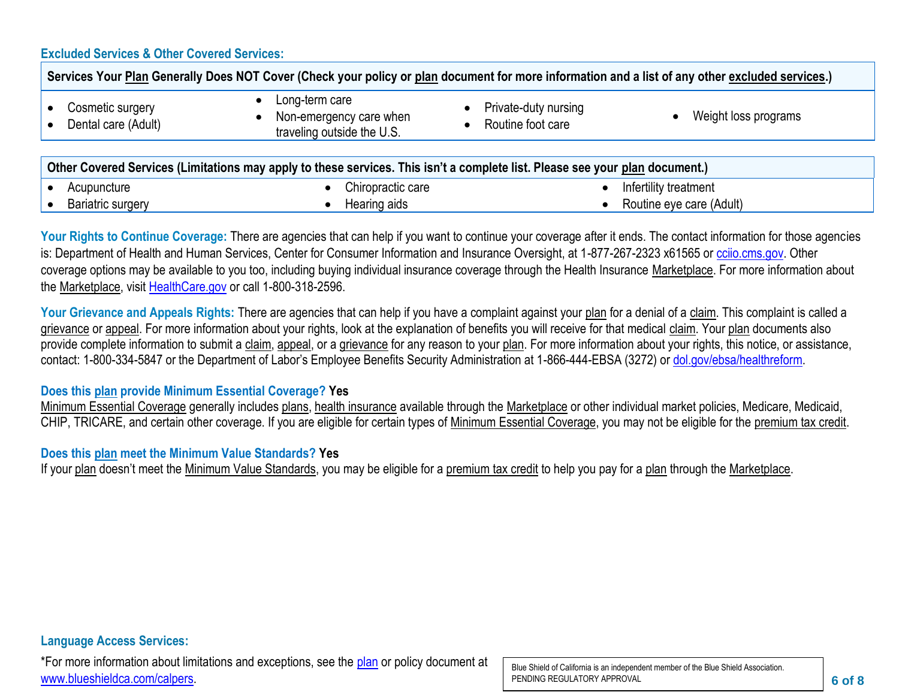#### **Excluded Services & Other Covered Services:**

| Services Your Plan Generally Does NOT Cover (Check your policy or plan document for more information and a list of any other excluded services.) |                                                                                                                              |                                           |                      |
|--------------------------------------------------------------------------------------------------------------------------------------------------|------------------------------------------------------------------------------------------------------------------------------|-------------------------------------------|----------------------|
| Cosmetic surgery<br>Dental care (Adult)                                                                                                          | Long-term care<br>٠<br>Non-emergency care when<br>$\bullet$<br>traveling outside the U.S.                                    | Private-duty nursing<br>Routine foot care | Weight loss programs |
|                                                                                                                                                  | Other Covered Services (Limitations may apply to these services. This isn't a complete list. Please see your plan document.) |                                           |                      |

| <b>Allah Advanced Advanced Financial and about the control of the complete the complete that the control of the plant advanced</b> |  |                   |  |                          |
|------------------------------------------------------------------------------------------------------------------------------------|--|-------------------|--|--------------------------|
| Acupuncture                                                                                                                        |  | Chiropractic care |  | Infertility treatment    |
| Bariatric surgery                                                                                                                  |  | Hearing aids      |  | Routine eye care (Adult) |

Your Rights to Continue Coverage: There are agencies that can help if you want to continue your coverage after it ends. The contact information for those agencies is: Department of Health and Human Services, Center for Consumer Information and Insurance Oversight, at 1-877-267-2323 x61565 or [cciio.cms.gov.](http://www.cciio.cms.gov/) Other coverage options may be available to you too, including buying individual insurance coverage through the Health Insurance Marketplace. For more information about the Marketplace, visit [HealthCare.gov](http://www.healthcare.gov/) or call 1-800-318-2596.

Your Grievance and Appeals Rights: There are agencies that can help if you have a complaint against your plan for a denial of a claim. This complaint is called a grievance or appeal. For more information about your rights, look at the explanation of benefits you will receive for that medical claim. Your plan documents also provide complete information to submit a claim, appeal, or a grievance for any reason to your plan. For more information about your rights, this notice, or assistance, contact: 1-800-334-5847 or the Department of Labor's Employee Benefits Security Administration at 1-866-444-EBSA (3272) or [dol.gov/ebsa/healthreform.](http://www.dol.gov/ebsa/healthreform)

#### **Does this plan provide Minimum Essential Coverage? Yes**

Minimum Essential Coverage generally includes plans, health insurance available through the Marketplace or other individual market policies, Medicare, Medicaid, CHIP, TRICARE, and certain other coverage. If you are eligible for certain types of Minimum Essential Coverage, you may not be eligible for the premium tax credit.

#### **Does this plan meet the Minimum Value Standards? Yes**

If your plan doesn't meet the Minimum Value Standards, you may be eligible for a premium tax credit to help you pay for a plan through the Marketplace.

\*For more information about limitations and exceptions, see the [plan](https://www.healthcare.gov/sbc-glossary/#plan) or policy document at [www.blueshieldca.com/calpers.](https://blueshieldca.com/calpers)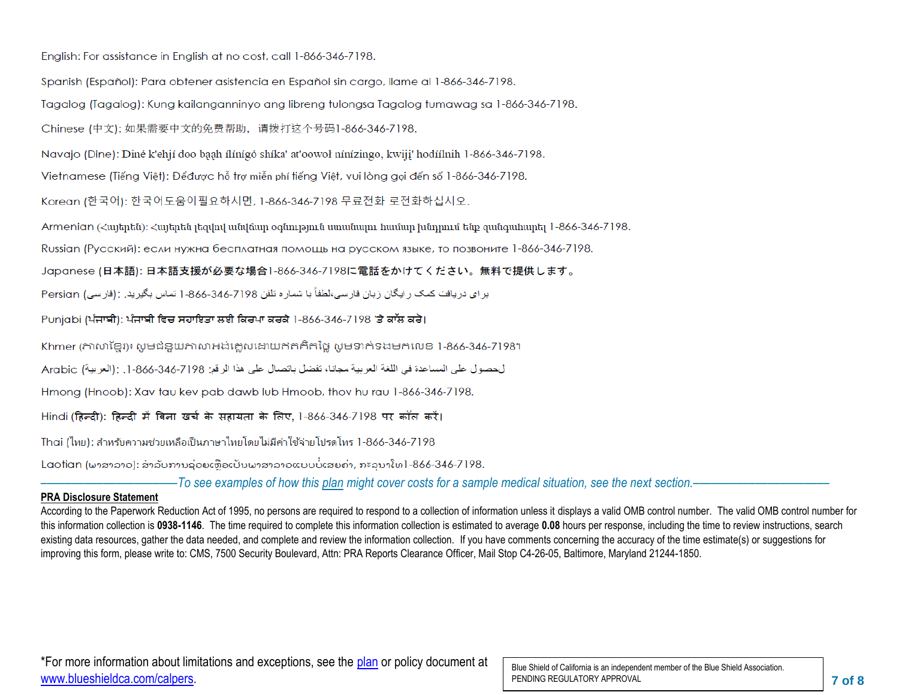English: For assistance in English at no cost, call 1-866-346-7198.

Spanish (Español): Para obtener asistencia en Español sin cargo, llame al 1-866-346-7198.

Tagalog (Tagalog): Kung kailanganninyo ang libreng tulongsa Tagalog tumawag sa 1-866-346-7198.

Chinese (中文): 如果需要中文的免费帮助, 请拨打这个号码1-866-346-7198.

Navajo (Dine): Diné k'ehií doo baah ílínígó shíka' at'oowoł nínízingo, kwiji' hodíílnih 1-866-346-7198.

Vietnamese (Tiếng Việt): Đểđược hỗ trợ miễn phí tiếng Việt, vui lòng gọi đến số 1-866-346-7198.

Korean (한국어): 한국어도움이필요하시면, 1-866-346-7198 무료전화 로전화하십시오.

Armenian (Հայերեն)։ Հայերեն լեզվով անվճար օգնություն սաանալու համար խնդրում ենք զանգահարել 1-866-346-7198.

Russian (Русский): если нужна бесплатная помощь на русском языке, то позвоните 1-866-346-7198.

Japanese (日本語): 日本語支援が必要な場合1-866-346-7198に電話をかけてください。無料で提供します。

بر ای در یافت کمک ر ایگان ز بان فار سی،لطفاً با شمار ه تلفن 7198-866-846-1 تماس بگیر ید . :(فار سی) Persian

Punjabi (ਪੰਜਾਬੀ): ਪੰਜਾਬੀ ਵਿਚ ਸਹਾਇਤਾ ਲਈ ਕਿਰਪਾ ਕਰਕੇ 1-866-346-7198 'ਤੇ ਕਾੱਲ ਕਰੋ।

Khmer (ភាសាខែរ)៖ សូមជំនួយភាសាអង់គ្លេសដោយឥតគិតថ្លៃ សូមទាក់ទងមកលេខ 1-866-346-7198។

لحصول على المساعدة في اللغة العربية مجانا، تفضل باتصال على هذا الرقم: 7198-346-366. [. :(العربية) Arabic

Hmong (Hnoob): Xav tau kev pab dawb lub Hmoob, thov hu rau 1-866-346-7198.

Hindi (हिन्दी): हिन्दी में बिना खर्च के सहायता के लिए, 1-866-346-7198 पर कॉल करें।

Thai (ไทย): สำหรับความช่วยเหลือเป็นภาษาไทยโดยไม่มีค่าใช้จ่ายโปรดโทร 1-866-346-7198

Laotian (ພາສາລາວ): ສໍາລັບການຊ່ວຍເຫືອເປັນພາສາລາວແບບບໍ່ເສຍຄ່າ, ກະລນາໂທ1-866-346-7198.

––––––––––––––––––––––*To see examples of how this plan might cover costs for a sample medical situation, see the next section.–––––––––––*–––––––––––

#### **PRA Disclosure Statement**

According to the Paperwork Reduction Act of 1995, no persons are required to respond to a collection of information unless it displays a valid OMB control number. The valid OMB control number for this information collection is **0938-1146**. The time required to complete this information collection is estimated to average **0.08** hours per response, including the time to review instructions, search existing data resources, gather the data needed, and complete and review the information collection. If you have comments concerning the accuracy of the time estimate(s) or suggestions for improving this form, please write to: CMS, 7500 Security Boulevard, Attn: PRA Reports Clearance Officer, Mail Stop C4-26-05, Baltimore, Maryland 21244-1850.